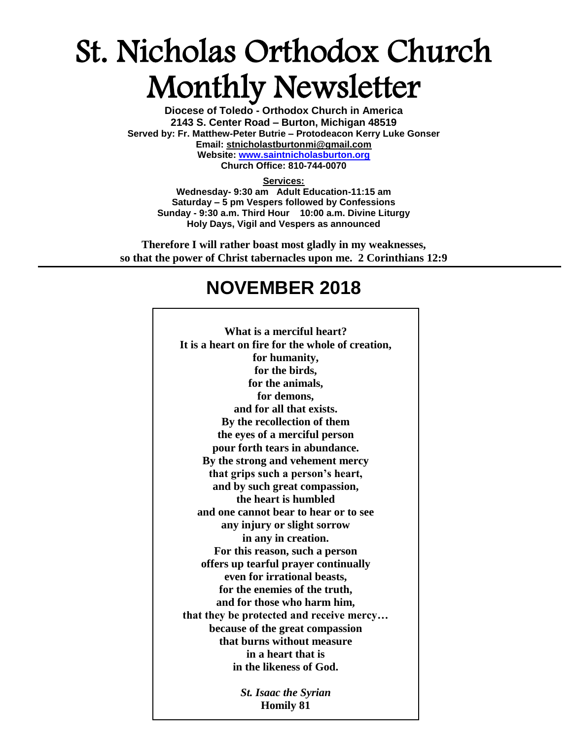# St. Nicholas Orthodox Church Monthly Newsletter

**Diocese of Toledo - Orthodox Church in America 2143 S. Center Road – Burton, Michigan 48519 Served by: Fr. Matthew-Peter Butrie – Protodeacon Kerry Luke Gonser Email: stnicholastburtonmi@gmail.com Website: [www.saintnicholasburton.org](http://www.saintnicholasburton.org/) Church Office: 810-744-0070**

#### **Services:**

**Wednesday- 9:30 am Adult Education-11:15 am Saturday – 5 pm Vespers followed by Confessions Sunday - 9:30 a.m. Third Hour 10:00 a.m. Divine Liturgy Holy Days, Vigil and Vespers as announced**

**Therefore I will rather boast most gladly in my weaknesses, so that the power of Christ tabernacles upon me. 2 Corinthians 12:9**

# **NOVEMBER 2018**

| What is a merciful heart?                        |
|--------------------------------------------------|
| It is a heart on fire for the whole of creation, |
| for humanity,                                    |
| for the birds,                                   |
| for the animals,                                 |
|                                                  |
| for demons,                                      |
| and for all that exists.                         |
| By the recollection of them                      |
| the eyes of a merciful person                    |
| pour forth tears in abundance.                   |
| By the strong and vehement mercy                 |
| that grips such a person's heart,                |
| and by such great compassion,                    |
| the heart is humbled                             |
| and one cannot bear to hear or to see            |
| any injury or slight sorrow                      |
| in any in creation.                              |
| For this reason, such a person                   |
| offers up tearful prayer continually             |
| even for irrational beasts,                      |
| for the enemies of the truth,                    |
| and for those who harm him,                      |
| that they be protected and receive mercy         |
| because of the great compassion                  |
| that burns without measure                       |
| in a heart that is                               |
| in the likeness of God.                          |
|                                                  |
| <b>St. Isaac the Syrian</b>                      |
| <b>Homily 81</b>                                 |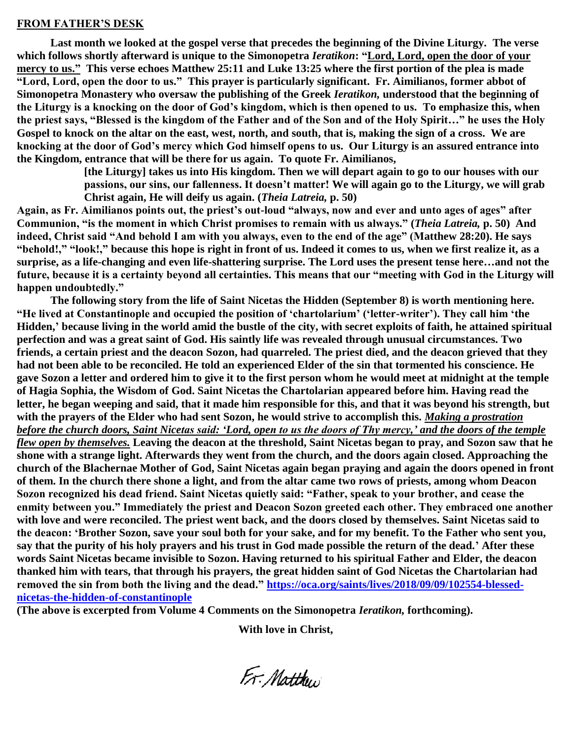#### **FROM FATHER'S DESK**

**Last month we looked at the gospel verse that precedes the beginning of the Divine Liturgy. The verse which follows shortly afterward is unique to the Simonopetra** *Ieratikon***: "Lord, Lord, open the door of your mercy to us." This verse echoes Matthew 25:11 and Luke 13:25 where the first portion of the plea is made "Lord, Lord, open the door to us." This prayer is particularly significant. Fr. Aimilianos, former abbot of Simonopetra Monastery who oversaw the publishing of the Greek** *Ieratikon,* **understood that the beginning of the Liturgy is a knocking on the door of God's kingdom, which is then opened to us. To emphasize this, when the priest says, "Blessed is the kingdom of the Father and of the Son and of the Holy Spirit…" he uses the Holy Gospel to knock on the altar on the east, west, north, and south, that is, making the sign of a cross. We are knocking at the door of God's mercy which God himself opens to us. Our Liturgy is an assured entrance into the Kingdom, entrance that will be there for us again. To quote Fr. Aimilianos,** 

> **[the Liturgy] takes us into His kingdom. Then we will depart again to go to our houses with our passions, our sins, our fallenness. It doesn't matter! We will again go to the Liturgy, we will grab Christ again, He will deify us again. (***Theia Latreia,* **p. 50)**

**Again, as Fr. Aimilianos points out, the priest's out-loud "always, now and ever and unto ages of ages" after Communion, "is the moment in which Christ promises to remain with us always." (***Theia Latreia,* **p. 50) And indeed, Christ said "And behold I am with you always, even to the end of the age" (Matthew 28:20). He says "behold!," "look!," because this hope is right in front of us. Indeed it comes to us, when we first realize it, as a surprise, as a life-changing and even life-shattering surprise. The Lord uses the present tense here…and not the future, because it is a certainty beyond all certainties. This means that our "meeting with God in the Liturgy will happen undoubtedly."**

**The following story from the life of Saint Nicetas the Hidden (September 8) is worth mentioning here. "He lived at Constantinople and occupied the position of 'chartolarium' ('letter-writer'). They call him 'the Hidden,' because living in the world amid the bustle of the city, with secret exploits of faith, he attained spiritual perfection and was a great saint of God. His saintly life was revealed through unusual circumstances. Two friends, a certain priest and the deacon Sozon, had quarreled. The priest died, and the deacon grieved that they had not been able to be reconciled. He told an experienced Elder of the sin that tormented his conscience. He gave Sozon a letter and ordered him to give it to the first person whom he would meet at midnight at the temple of Hagia Sophia, the Wisdom of God. Saint Nicetas the Chartolarian appeared before him. Having read the letter, he began weeping and said, that it made him responsible for this, and that it was beyond his strength, but with the prayers of the Elder who had sent Sozon, he would strive to accomplish this.** *Making a prostration before the church doors, Saint Nicetas said: 'Lord, open to us the doors of Thy mercy,' and the doors of the temple flew open by themselves.* **Leaving the deacon at the threshold, Saint Nicetas began to pray, and Sozon saw that he shone with a strange light. Afterwards they went from the church, and the doors again closed. Approaching the church of the Blachernae Mother of God, Saint Nicetas again began praying and again the doors opened in front of them. In the church there shone a light, and from the altar came two rows of priests, among whom Deacon Sozon recognized his dead friend. Saint Nicetas quietly said: "Father, speak to your brother, and cease the enmity between you." Immediately the priest and Deacon Sozon greeted each other. They embraced one another with love and were reconciled. The priest went back, and the doors closed by themselves. Saint Nicetas said to the deacon: 'Brother Sozon, save your soul both for your sake, and for my benefit. To the Father who sent you, say that the purity of his holy prayers and his trust in God made possible the return of the dead.' After these words Saint Nicetas became invisible to Sozon. Having returned to his spiritual Father and Elder, the deacon thanked him with tears, that through his prayers, the great hidden saint of God Nicetas the Chartolarian had removed the sin from both the living and the dead." [https://oca.org/saints/lives/2018/09/09/102554-blessed](https://oca.org/saints/lives/2018/09/09/102554-blessed-nicetas-the-hidden-of-constantinople)[nicetas-the-hidden-of-constantinople](https://oca.org/saints/lives/2018/09/09/102554-blessed-nicetas-the-hidden-of-constantinople)**

**(The above is excerpted from Volume 4 Comments on the Simonopetra** *Ieratikon,* **forthcoming).**

**With love in Christ,**

Fr: Matthew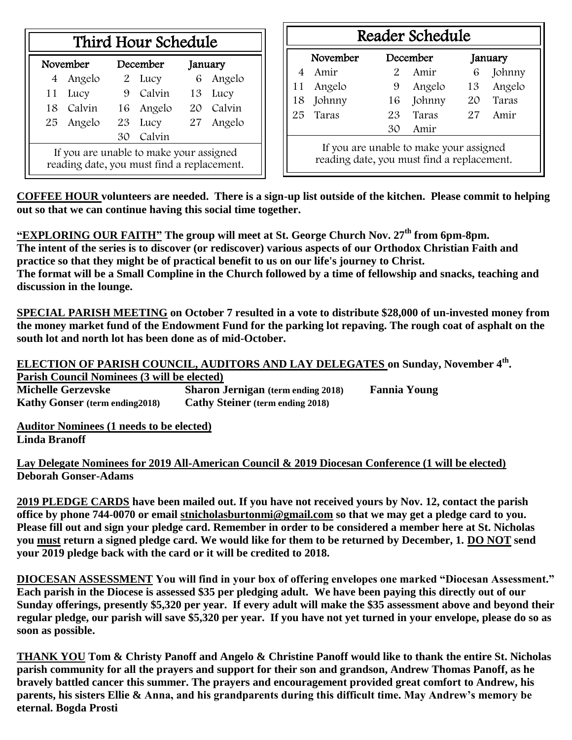| Third Hour Schedule |  |
|---------------------|--|
|---------------------|--|

| November                                                                              |           | December |           | January |           |  |
|---------------------------------------------------------------------------------------|-----------|----------|-----------|---------|-----------|--|
|                                                                                       | 4 Angelo  |          | 2 Lucy    |         | 6 Angelo  |  |
|                                                                                       | 11 Lucy   |          | 9 Calvin  |         | 13 Lucy   |  |
|                                                                                       | 18 Calvin |          | 16 Angelo |         | 20 Calvin |  |
|                                                                                       | 25 Angelo | 23 Lucy  |           |         | 27 Angelo |  |
| Calvin<br>30                                                                          |           |          |           |         |           |  |
| If you are unable to make your assigned<br>reading date, you must find a replacement. |           |          |           |         |           |  |

| Reader Schedule                                                                       |            |    |              |    |             |  |  |  |
|---------------------------------------------------------------------------------------|------------|----|--------------|----|-------------|--|--|--|
| November<br>December<br>January                                                       |            |    |              |    |             |  |  |  |
| $\overline{4}$                                                                        | Amir       |    | 2 Amir       | 6  | Johnny      |  |  |  |
| 11                                                                                    | Angelo     | 9  | Angelo       | 13 | Angelo      |  |  |  |
| 18                                                                                    | Johnny     |    | Johnny<br>16 |    | Taras<br>20 |  |  |  |
| 25                                                                                    | Taras      | 23 | Taras        |    | Amir        |  |  |  |
|                                                                                       | Amir<br>30 |    |              |    |             |  |  |  |
| If you are unable to make your assigned<br>reading date, you must find a replacement. |            |    |              |    |             |  |  |  |

**COFFEE HOUR volunteers are needed. There is a sign-up list outside of the kitchen. Please commit to helping out so that we can continue having this social time together.**

**"EXPLORING OUR FAITH" The group will meet at St. George Church Nov. 27th from 6pm-8pm. The intent of the series is to discover (or rediscover) various aspects of our Orthodox Christian Faith and practice so that they might be of practical benefit to us on our life's journey to Christ. The format will be a Small Compline in the Church followed by a time of fellowship and snacks, teaching and discussion in the lounge.**

**SPECIAL PARISH MEETING on October 7 resulted in a vote to distribute \$28,000 of un-invested money from the money market fund of the Endowment Fund for the parking lot repaving. The rough coat of asphalt on the south lot and north lot has been done as of mid-October.**

**ELECTION OF PARISH COUNCIL, AUDITORS AND LAY DELEGATES on Sunday, November 4th . Parish Council Nominees (3 will be elected) Michelle Gerzevske Sharon Jernigan (term ending 2018) Fannia Young Kathy Gonser (term ending2018) Cathy Steiner (term ending 2018)**

**Auditor Nominees (1 needs to be elected) Linda Branoff**

**Lay Delegate Nominees for 2019 All-American Council & 2019 Diocesan Conference (1 will be elected) Deborah Gonser-Adams**

**2019 PLEDGE CARDS have been mailed out. If you have not received yours by Nov. 12, contact the parish office by phone 744-0070 or email [stnicholasburtonmi@gmail.com](mailto:stnicholasburtonmi@gmail.com) so that we may get a pledge card to you. Please fill out and sign your pledge card. Remember in order to be considered a member here at St. Nicholas you must return a signed pledge card. We would like for them to be returned by December, 1. DO NOT send your 2019 pledge back with the card or it will be credited to 2018.**

**DIOCESAN ASSESSMENT You will find in your box of offering envelopes one marked "Diocesan Assessment." Each parish in the Diocese is assessed \$35 per pledging adult. We have been paying this directly out of our Sunday offerings, presently \$5,320 per year. If every adult will make the \$35 assessment above and beyond their regular pledge, our parish will save \$5,320 per year. If you have not yet turned in your envelope, please do so as soon as possible.**

**THANK YOU Tom & Christy Panoff and Angelo & Christine Panoff would like to thank the entire St. Nicholas parish community for all the prayers and support for their son and grandson, Andrew Thomas Panoff, as he bravely battled cancer this summer. The prayers and encouragement provided great comfort to Andrew, his parents, his sisters Ellie & Anna, and his grandparents during this difficult time. May Andrew's memory be eternal. Bogda Prosti**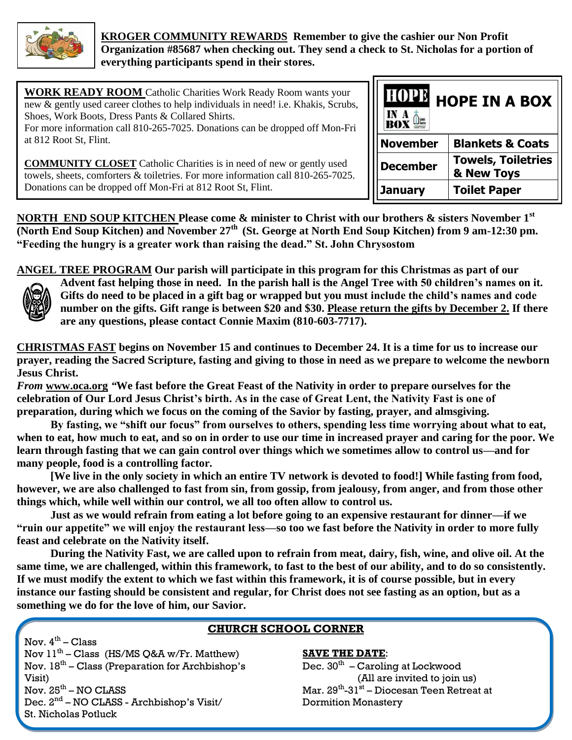

 **KROGER COMMUNITY REWARDS Remember to give the cashier our Non Profit Organization #85687 when checking out. They send a check to St. Nicholas for a portion of everything participants spend in their stores.**

| <b>WORK READY ROOM</b> Catholic Charities Work Ready Room wants your<br>new & gently used career clothes to help individuals in need! i.e. Khakis, Scrubs,<br>Shoes, Work Boots, Dress Pants & Collared Shirts.<br>For more information call 810-265-7025. Donations can be dropped off Mon-Fri | <b>I HOPE IN A BOX"</b><br>IN A<br>$B_0X \triangleq$ |                                         |  |
|-------------------------------------------------------------------------------------------------------------------------------------------------------------------------------------------------------------------------------------------------------------------------------------------------|------------------------------------------------------|-----------------------------------------|--|
| at 812 Root St, Flint.                                                                                                                                                                                                                                                                          | <b>November</b>                                      | <b>Blankets &amp; Coats</b>             |  |
| <b>COMMUNITY CLOSET</b> Catholic Charities is in need of new or gently used<br>towels, sheets, comforters & toiletries. For more information call 810-265-7025.                                                                                                                                 | <b>December</b>                                      | <b>Towels, Toiletries</b><br>& New Toys |  |
| Donations can be dropped off Mon-Fri at 812 Root St, Flint.                                                                                                                                                                                                                                     | <b>January</b>                                       | <b>Toilet Paper</b>                     |  |

**NORTH END SOUP KITCHEN Please come & minister to Christ with our brothers & sisters November 1st (North End Soup Kitchen) and November 27th (St. George at North End Soup Kitchen) from 9 am-12:30 pm. "Feeding the hungry is a greater work than raising the dead." St. John Chrysostom**

**ANGEL TREE PROGRAM Our parish will participate in this program for this Christmas as part of our Advent fast helping those in need. In the parish hall is the Angel Tree with 50 children's names on it. Gifts do need to be placed in a gift bag or wrapped but you must include the child's names and code number on the gifts. Gift range is between \$20 and \$30. Please return the gifts by December 2. If there are any questions, please contact Connie Maxim (810-603-7717).**

**CHRISTMAS FAST begins on November 15 and continues to December 24. It is a time for us to increase our prayer, reading the Sacred Scripture, fasting and giving to those in need as we prepare to welcome the newborn Jesus Christ.**

*From* **[www.oca.org](http://www.oca.org/)** *"***We fast before the Great Feast of the Nativity in order to prepare ourselves for the celebration of Our Lord Jesus Christ's birth. As in the case of Great Lent, the Nativity Fast is one of preparation, during which we focus on the coming of the Savior by fasting, prayer, and almsgiving.**

**By fasting, we "shift our focus" from ourselves to others, spending less time worrying about what to eat, when to eat, how much to eat, and so on in order to use our time in increased prayer and caring for the poor. We learn through fasting that we can gain control over things which we sometimes allow to control us—and for many people, food is a controlling factor.**

**[We live in the only society in which an entire TV network is devoted to food!] While fasting from food, however, we are also challenged to fast from sin, from gossip, from jealousy, from anger, and from those other things which, while well within our control, we all too often allow to control us.**

**Just as we would refrain from eating a lot before going to an expensive restaurant for dinner—if we "ruin our appetite" we will enjoy the restaurant less—so too we fast before the Nativity in order to more fully feast and celebrate on the Nativity itself.**

**During the Nativity Fast, we are called upon to refrain from meat, dairy, fish, wine, and olive oil. At the same time, we are challenged, within this framework, to fast to the best of our ability, and to do so consistently. If we must modify the extent to which we fast within this framework, it is of course possible, but in every instance our fasting should be consistent and regular, for Christ does not see fasting as an option, but as a something we do for the love of him, our Savior.**

# **CHURCH SCHOOL CORNER**

Nov.  $4^{\text{th}}$  – Class Nov  $11^{\text{th}}$  – Class (HS/MS Q&A w/Fr. Matthew) Nov.  $18<sup>th</sup>$  – Class (Preparation for Archbishop's Visit) Nov.  $25<sup>th</sup> - NO CLASS$ Dec. 2<sup>nd</sup> – NO CLASS - Archbishop's Visit/ St. Nicholas Potluck

# **SAVE THE DATE**:

Dec.  $30^{\rm th}$  – Caroling at Lockwood (All are invited to join us) Mar. 29<sup>th</sup>-31<sup>st</sup> – Diocesan Teen Retreat at Dormition Monastery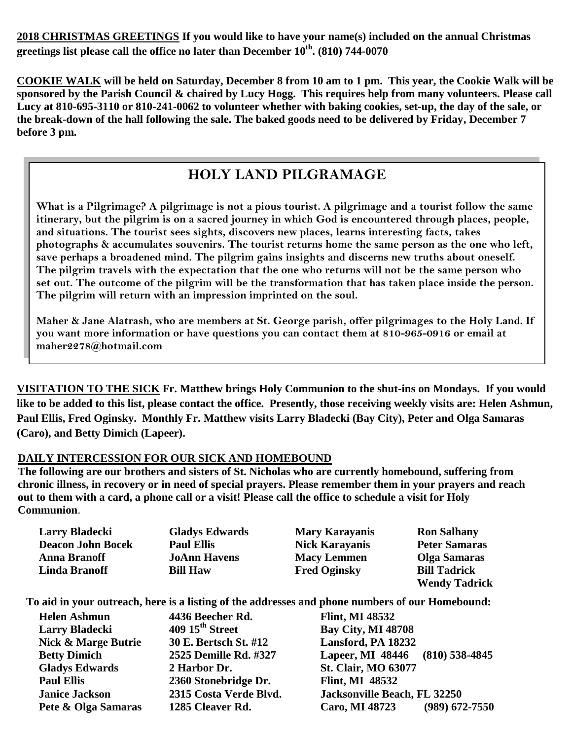**2018 CHRISTMAS GREETINGS If you would like to have your name(s) included on the annual Christmas greetings list please call the office no later than December 10th. (810) 744-0070**

**COOKIE WALK will be held on Saturday, December 8 from 10 am to 1 pm. This year, the Cookie Walk will be sponsored by the Parish Council & chaired by Lucy Hogg. This requires help from many volunteers. Please call Lucy at 810-695-3110 or 810-241-0062 to volunteer whether with baking cookies, set-up, the day of the sale, or the break-down of the hall following the sale. The baked goods need to be delivered by Friday, December 7 before 3 pm.** 

# **HOLY LAND PILGRAMAGE**

**What is a Pilgrimage? A pilgrimage is not a pious tourist. A pilgrimage and a tourist follow the same itinerary, but the pilgrim is on a sacred journey in which God is encountered through places, people, and situations. The tourist sees sights, discovers new places, learns interesting facts, takes photographs & accumulates souvenirs. The tourist returns home the same person as the one who left, save perhaps a broadened mind. The pilgrim gains insights and discerns new truths about oneself. The pilgrim travels with the expectation that the one who returns will not be the same person who set out. The outcome of the pilgrim will be the transformation that has taken place inside the person. The pilgrim will return with an impression imprinted on the soul.**

**Maher & Jane Alatrash, who are members at St. George parish, offer pilgrimages to the Holy Land. If you want more information or have questions you can contact them at 810-965-0916 or email at maher2278@hotmail.com** 

**VISITATION TO THE SICK Fr. Matthew brings Holy Communion to the shut-ins on Mondays. If you would like to be added to this list, please contact the office. Presently, those receiving weekly visits are: Helen Ashmun, Paul Ellis, Fred Oginsky. Monthly Fr. Matthew visits Larry Bladecki (Bay City), Peter and Olga Samaras (Caro), and Betty Dimich (Lapeer).**

### **DAILY INTERCESSION FOR OUR SICK AND HOMEBOUND**

**The following are our brothers and sisters of St. Nicholas who are currently homebound, suffering from chronic illness, in recovery or in need of special prayers. Please remember them in your prayers and reach out to them with a card, a phone call or a visit! Please call the office to schedule a visit for Holy Communion**.

| <b>Larry Bladecki</b>    | <b>Gladys Edwards</b> | <b>Mary Karayanis</b> | <b>Ron Salhany</b>   |
|--------------------------|-----------------------|-----------------------|----------------------|
| <b>Deacon John Bocek</b> | <b>Paul Ellis</b>     | <b>Nick Karayanis</b> | <b>Peter Samaras</b> |
| <b>Anna Branoff</b>      | <b>JoAnn Havens</b>   | <b>Macy Lemmen</b>    | <b>Olga Samaras</b>  |
| <b>Linda Branoff</b>     | <b>Bill Haw</b>       | <b>Fred Oginsky</b>   | <b>Bill Tadrick</b>  |
|                          |                       |                       | <b>Wendy Tadrick</b> |

**To aid in your outreach, here is a listing of the addresses and phone numbers of our Homebound:**

| <b>Helen Ashmun</b>            | 4436 Beecher Rd.                     | <b>Flint, MI 48532</b>                    |
|--------------------------------|--------------------------------------|-------------------------------------------|
| <b>Larry Bladecki</b>          | $409\,15^{\text{th}}\,\text{Street}$ | <b>Bay City, MI 48708</b>                 |
| <b>Nick &amp; Marge Butrie</b> | 30 E. Bertsch St. #12                | Lansford, PA 18232                        |
| <b>Betty Dimich</b>            | 2525 Demille Rd. #327                | Lapeer, MI 48446 (810) 538-4845           |
| <b>Gladys Edwards</b>          | 2 Harbor Dr.                         | <b>St. Clair, MO 63077</b>                |
| <b>Paul Ellis</b>              | 2360 Stonebridge Dr.                 | <b>Flint, MI 48532</b>                    |
| <b>Janice Jackson</b>          | 2315 Costa Verde Blvd.               | Jacksonville Beach, FL 32250              |
| Pete & Olga Samaras            | 1285 Cleaver Rd.                     | $(989)$ 672-7550<br><b>Caro, MI 48723</b> |
|                                |                                      |                                           |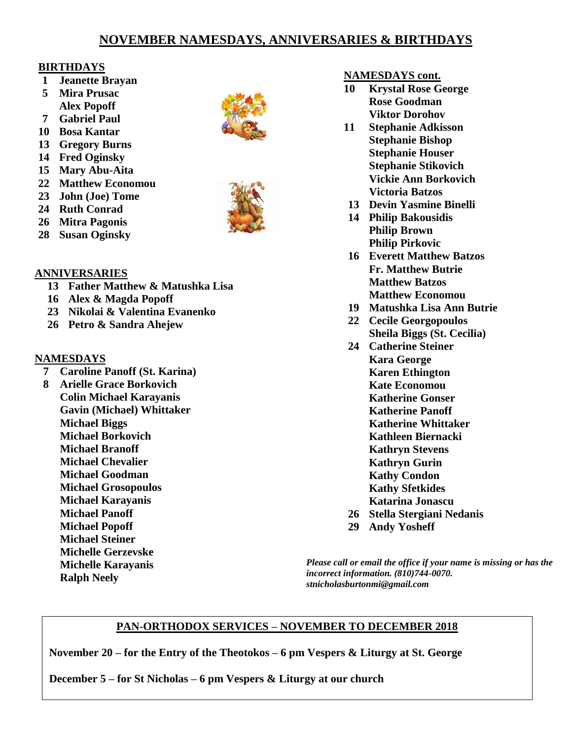# **NOVEMBER NAMESDAYS, ANNIVERSARIES & BIRTHDAYS**

### **BIRTHDAYS**

- **1 Jeanette Brayan**
- **5 Mira Prusac Alex Popoff**
- **7 Gabriel Paul**
- **10 Bosa Kantar**
- **13 Gregory Burns**
- **14 Fred Oginsky**
- **15 Mary Abu-Aita**
- **22 Matthew Economou**
- **23 John (Joe) Tome**
- **24 Ruth Conrad**
- **26 Mitra Pagonis**
- **28 Susan Oginsky**

# **ANNIVERSARIES**

- **13 Father Matthew & Matushka Lisa**
- **16 Alex & Magda Popoff**
- **23 Nikolai & Valentina Evanenko**
- **26 Petro & Sandra Ahejew**

# **NAMESDAYS**

- **7 Caroline Panoff (St. Karina)**
- **8 Arielle Grace Borkovich Colin Michael Karayanis Gavin (Michael) Whittaker Michael Biggs Michael Borkovich Michael Branoff Michael Chevalier Michael Goodman Michael Grosopoulos Michael Karayanis Michael Panoff Michael Popoff Michael Steiner Michelle Gerzevske Michelle Karayanis Ralph Neely**





### **NAMESDAYS cont.**

- **10 Krystal Rose George Rose Goodman Viktor Dorohov**
- **11 Stephanie Adkisson Stephanie Bishop Stephanie Houser Stephanie Stikovich Vickie Ann Borkovich Victoria Batzos**
- **13 Devin Yasmine Binelli**
- **14 Philip Bakousidis Philip Brown Philip Pirkovic**
- **16 Everett Matthew Batzos Fr. Matthew Butrie Matthew Batzos Matthew Economou**
- **19 Matushka Lisa Ann Butrie**
- **22 Cecile Georgopoulos Sheila Biggs (St. Cecilia)**
- **24 Catherine Steiner Kara George Karen Ethington Kate Economou Katherine Gonser Katherine Panoff Katherine Whittaker Kathleen Biernacki Kathryn Stevens Kathryn Gurin Kathy Condon Kathy Sfetkides Katarina Jonascu 26 Stella Stergiani Nedanis**
- **29 Andy Yosheff**

*Please call or email the office if your name is missing or has the incorrect information. (810)744-0070. stnicholasburtonmi@gmail.com*

# **PAN-ORTHODOX SERVICES – NOVEMBER TO DECEMBER 2018**

**November 20 – for the Entry of the Theotokos – 6 pm Vespers & Liturgy at St. George**

**December 5 – for St Nicholas – 6 pm Vespers & Liturgy at our church**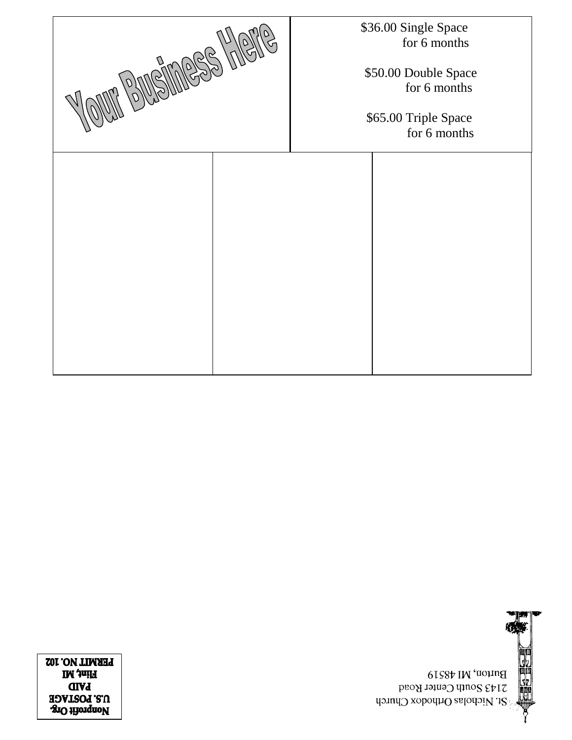**SEBRE** Burton, MI 48519 2143 South Center Road St. Nicholas Orthodox Church

**LEKWILL MO' 10S IM** *tuill* **GIVJ** U.S. POSTAGE **SIO HiorqnoV** 

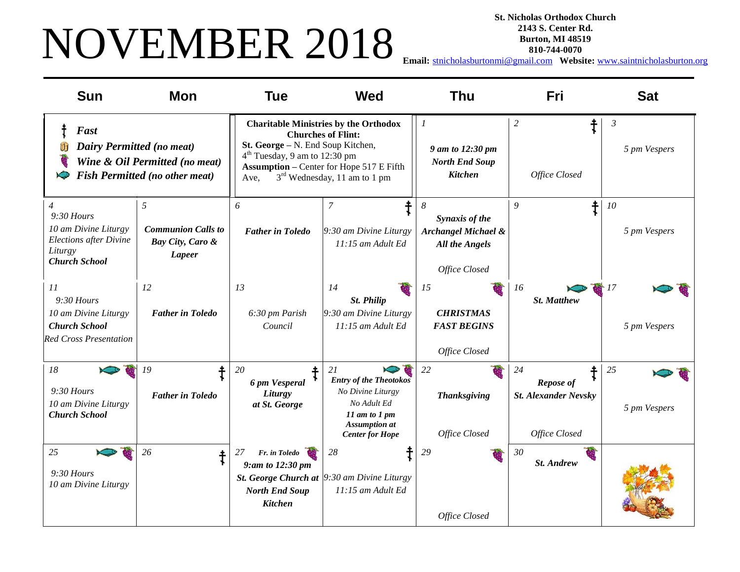# NOVEMBER 2018

**St. Nicholas Orthodox Church 2143 S. Center Rd. Burton, MI 48519**

**810-744-0070**

**Email:** [stnicholasburtonmi@gmail.com](mailto:stnicholasburtonmi@gmail.com) **Website:** [www.saintnicholasburton.org](http://www.saintnicholasburton.org/)

| <b>Sun</b>                                                                                                                 | <b>Mon</b>                                                              | <b>Tue</b>                                                                             | <b>Wed</b>                                                                                                                                                               | <b>Thu</b>                                                                                      | Fri                                                                    | <b>Sat</b>                     |
|----------------------------------------------------------------------------------------------------------------------------|-------------------------------------------------------------------------|----------------------------------------------------------------------------------------|--------------------------------------------------------------------------------------------------------------------------------------------------------------------------|-------------------------------------------------------------------------------------------------|------------------------------------------------------------------------|--------------------------------|
| Fast<br><b>Dairy Permitted (no meat)</b><br>۱Ŧ                                                                             | Wine & Oil Permitted (no meat)<br><b>Fish Permitted (no other meat)</b> | St. George - N. End Soup Kitchen,<br>4 <sup>th</sup> Tuesday, 9 am to 12:30 pm<br>Ave. | <b>Charitable Ministries by the Orthodox</b><br><b>Churches of Flint:</b><br><b>Assumption - Center for Hope 517 E Fifth</b><br>3 <sup>rd</sup> Wednesday, 11 am to 1 pm | $\overline{\phantom{a}}$<br>9 am to 12:30 pm<br><b>North End Soup</b><br><b>Kitchen</b>         | $\ddagger$<br>$\overline{c}$<br>Office Closed                          | $\mathfrak{Z}$<br>5 pm Vespers |
| $\overline{4}$<br>$9:30$ Hours<br>10 am Divine Liturgy<br><b>Elections after Divine</b><br>Liturgy<br><b>Church School</b> | 5<br><b>Communion Calls to</b><br>Bay City, Caro &<br><b>Lapeer</b>     | 6<br><b>Father in Toledo</b>                                                           | ∔<br>7<br>9:30 am Divine Liturgy<br>11:15 am Adult Ed                                                                                                                    | 8<br>Synaxis of the<br><b>Archangel Michael &amp;</b><br><b>All the Angels</b><br>Office Closed | $\ddagger$<br>9                                                        | 10<br>5 pm Vespers             |
| 11<br>$9:30$ Hours<br>10 am Divine Liturgy<br><b>Church School</b><br><b>Red Cross Presentation</b>                        | 12<br><b>Father in Toledo</b>                                           | 13<br>6:30 pm Parish<br>Council                                                        | 14<br><b>St. Philip</b><br>$9:30$ am Divine Liturgy<br>11:15 am Adult Ed                                                                                                 | 15<br><b>CHRISTMAS</b><br><b>FAST BEGINS</b><br>Office Closed                                   | 16<br><b>St. Matthew</b>                                               | 17<br>5 pm Vespers             |
| 18<br>$9:30$ Hours<br>10 am Divine Liturgy<br><b>Church School</b>                                                         | 19<br><b>Father in Toledo</b>                                           | 20<br>6 pm Vesperal<br>Liturgy<br>at St. George                                        | 21<br><b>Entry of the Theotokos</b><br>No Divine Liturgy<br>No Adult Ed<br>$11$ am to $1$ pm<br><b>Assumption</b> at<br><b>Center for Hope</b>                           | 22<br><b>Thanksgiving</b><br>Office Closed                                                      | 24<br><b>Repose of</b><br><b>St. Alexander Nevsky</b><br>Office Closed | 25<br>5 pm Vespers             |
| 25<br>$9:30$ Hours<br>10 am Divine Liturgy                                                                                 | 26<br>ŧ                                                                 | 27<br>Fr. in Toledo<br>9:am to 12:30 pm<br><b>North End Soup</b><br><b>Kitchen</b>     | 28<br><b>St. George Church at </b> $9:30$ am Divine Liturgy<br>11:15 am Adult Ed                                                                                         | 29<br>Office Closed                                                                             | 30<br>St. Andrew                                                       |                                |